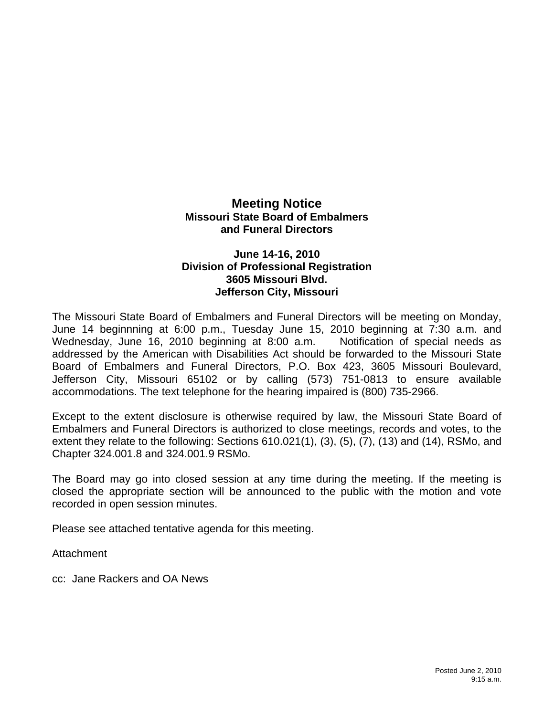## **Meeting Notice Missouri State Board of Embalmers and Funeral Directors**

## **June 14-16, 2010 Division of Professional Registration 3605 Missouri Blvd. Jefferson City, Missouri**

The Missouri State Board of Embalmers and Funeral Directors will be meeting on Monday, June 14 beginnning at 6:00 p.m., Tuesday June 15, 2010 beginning at 7:30 a.m. and Wednesday, June 16, 2010 beginning at 8:00 a.m. Notification of special needs as addressed by the American with Disabilities Act should be forwarded to the Missouri State Board of Embalmers and Funeral Directors, P.O. Box 423, 3605 Missouri Boulevard, Jefferson City, Missouri 65102 or by calling (573) 751-0813 to ensure available accommodations. The text telephone for the hearing impaired is (800) 735-2966.

Except to the extent disclosure is otherwise required by law, the Missouri State Board of Embalmers and Funeral Directors is authorized to close meetings, records and votes, to the extent they relate to the following: Sections 610.021(1), (3), (5), (7), (13) and (14), RSMo, and Chapter 324.001.8 and 324.001.9 RSMo.

The Board may go into closed session at any time during the meeting. If the meeting is closed the appropriate section will be announced to the public with the motion and vote recorded in open session minutes.

Please see attached tentative agenda for this meeting.

Attachment

cc: Jane Rackers and OA News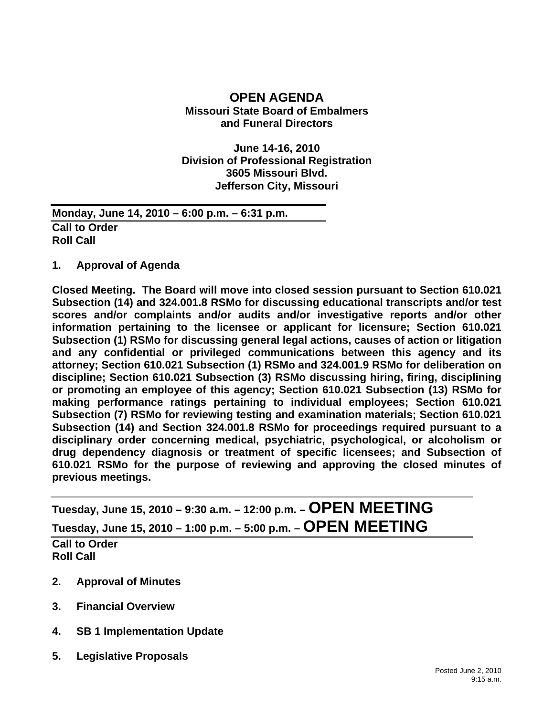## **OPEN AGENDA Missouri State Board of Embalmers and Funeral Directors**

**June 14-16, 2010 Division of Professional Registration 3605 Missouri Blvd. Jefferson City, Missouri** 

**Monday, June 14, 2010 – 6:00 p.m. – 6:31 p.m. Call to Order Roll Call** 

**1. Approval of Agenda** 

**Closed Meeting. The Board will move into closed session pursuant to Section 610.021 Subsection (14) and 324.001.8 RSMo for discussing educational transcripts and/or test scores and/or complaints and/or audits and/or investigative reports and/or other information pertaining to the licensee or applicant for licensure; Section 610.021 Subsection (1) RSMo for discussing general legal actions, causes of action or litigation and any confidential or privileged communications between this agency and its attorney; Section 610.021 Subsection (1) RSMo and 324.001.9 RSMo for deliberation on discipline; Section 610.021 Subsection (3) RSMo discussing hiring, firing, disciplining or promoting an employee of this agency; Section 610.021 Subsection (13) RSMo for making performance ratings pertaining to individual employees; Section 610.021 Subsection (7) RSMo for reviewing testing and examination materials; Section 610.021 Subsection (14) and Section 324.001.8 RSMo for proceedings required pursuant to a disciplinary order concerning medical, psychiatric, psychological, or alcoholism or drug dependency diagnosis or treatment of specific licensees; and Subsection of 610.021 RSMo for the purpose of reviewing and approving the closed minutes of previous meetings.** 

**Tuesday, June 15, 2010 – 9:30 a.m. – 12:00 p.m. – OPEN MEETING Tuesday, June 15, 2010 – 1:00 p.m. – 5:00 p.m. – OPEN MEETING Call to Order Roll Call** 

- **2. Approval of Minutes**
- **3. Financial Overview**
- **4. SB 1 Implementation Update**
- **5. Legislative Proposals**